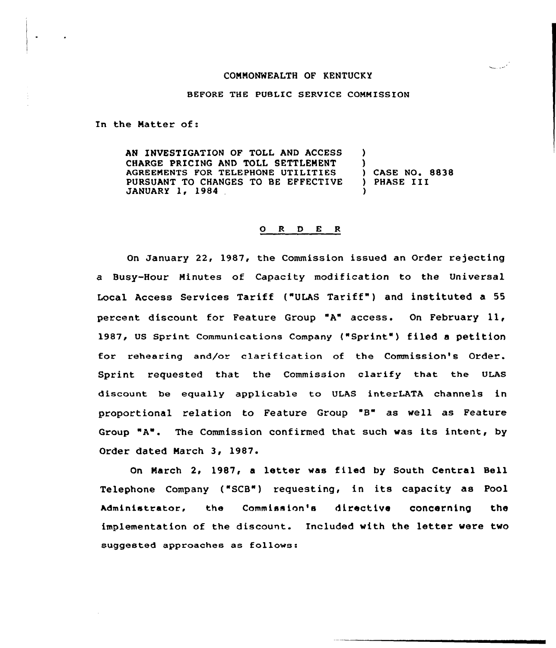### COMMONWEALTH OF KENTUCKY

#### BEFORE THE PUBLIC SERVICE COMMISSION

In the Natter of:

AN INVESTIGATION OF TOLL AND ACCESS CHARGE PRICING AND TOLL SETTLENENT AGREEMENTS FOR TELEPHONE UTILITIES PURSUANT TO CHANGES TO BE EFFECTIVE JANUARY 1, 1984 ) ) ) CASE NO. 8838 ) PHASE III )

#### ORDER

On January 22, 1987, the Commissian issued an Order rejecting a Busy-Hour Minutes of Capacity modification to the Universal Local Access Services Tariff ("ULAS Tariff" ) and instituted a 55 percent discount for Feature Group "A" access. On February 11, 1987, Us sprint communications company {"sprint") filed <sup>a</sup> petition for rehearing and/or clarification of the Commission's Order. Sprint requested that the commissian clarify that the ULAs discount be equally applicable to ULAS interLATA channels in proportional relation to Feature Group "8" as well as Feature Group "A". The Commission confirmed that such was its intent, by Order dated March 3, 1987.

On March 2, 1987, a letter was filed by South Central Bell Telephone Company ("SCB") requesting, in its capacity as Pool Administrator, the Commission's directive concerning the implementation of the discount. Included with the letter were two suggested approaches as fallaws:

مسايبها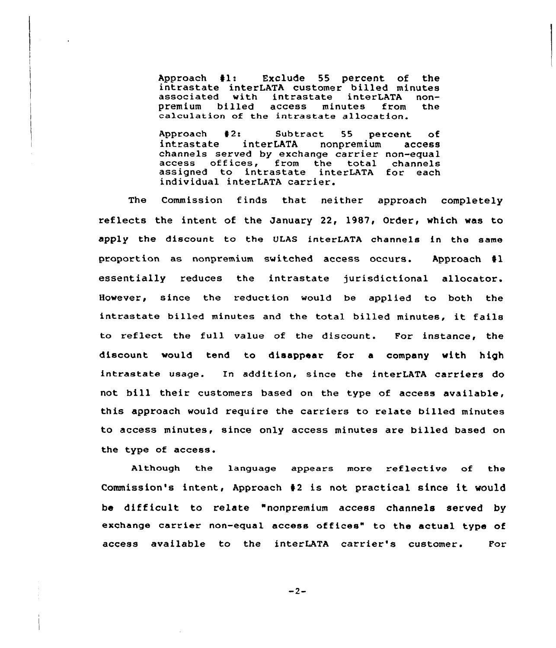Approach #1: Exclude 55 percent of the<br>intrastate interLATA customer billed minutes<br>associated with intrastate interLATA non-<br>premium billed access minutes from the calculation of the intrastate allocation.

Approach #2: Subtract 55 percent of<br>intrastate interLATA nonpremium access interLATA channels served by exchange carrier non-equal endiners served by exchange carrier non-equal<br>access offices, from the total channel assigned to intrastate interLATA for each individual interLATA carrier.

The Commission finds that neither approach completely reflects the intent of the January 22, 1987, Order, which was to apply the discount to the ULAS interLATA channels in the same proportion as nonpremium switched access occurs. Approach  $\sharp 1$ essentially reduces the intrastate jurisdictional allocator. However, since the reduction would be applied to both the intrastate billed minutes and the total billed minutes, it fails to reflect the full value of the discount. For instance, the discount would tend to disappear for a company with high intrastate usage. In addition, since the interLATA carriers do not bill their customers based on the type of access available, this approach would require the carriers to relate billed minutes to access minutes, since only access minutes are billed based on the type of access.

Although the language appears more reflective of the Commission's intent, Approach <sup>42</sup> is not practical since it would be difficult to relate "nonpremium access channels served by exchange carrier non-equal access offices" to the actual type of access available to the interLATA carrier's customer. For

 $-2-$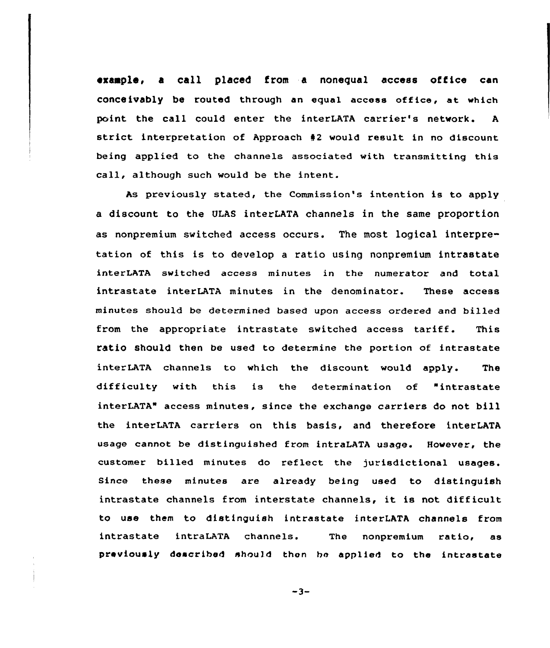exaaple, a call placed from a nonequal access office can conceivably be routed through an equal access office, at which point the call could enter the interLATA carrier's network. A strict interpretation of Approach <sup>42</sup> would result in no discount being applied to the channels associated with transmitting this call, although such would be the intent.

As previously stated, the Commission's intention is to apply a discount to the ULAS interLATA channels in the same proportion as nonpremium switched access occurs. The most logical interpretation of this is to develop a ratio using nonpremium intrastate interLATA switched access minutes in the numerator and total intrastate interLATA minutes in the denominator. These access minutes should be determined based upon access ordered and billed from the appropriate intrastate switched access tariff. This ratio should then be used to determine the portion of intrastate interLATA channels to which the discount would apply. The difficulty with this is the determination of "intrastate interLATA" access minutes, since the exchange carriers do not bill the interLATA carriers on this basis, and therefore interLATA usage cannot be distinguished from intraLATA usage. However, the customer billed minutes do reflect the jurisdictional usages. Since these minutes are already being used to distinguish intrastate channels from interstate channels, it is not difficult to use them to distinguish intrastate interLATA channels from intrastate intraLATA channels. The nonpremium ratio, as previously described should thon bo applied to the intrastate

 $-3-$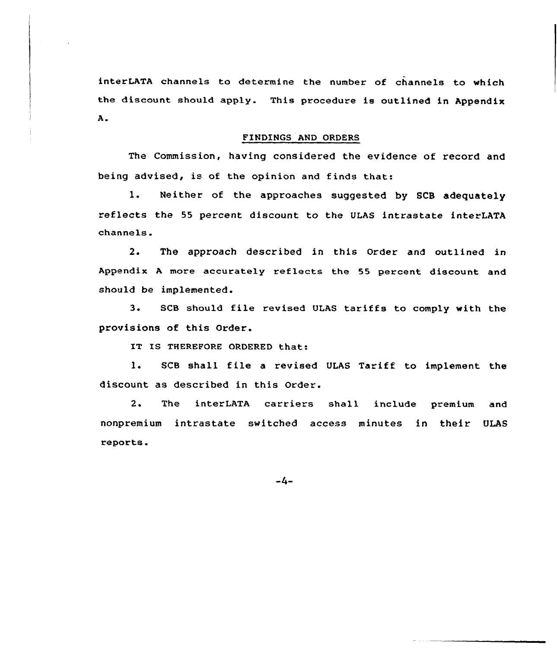interLATA channels to determine the number of channels to which the discount should apply. This procedure is outlined in Appendix A.

## FINDINGS AND ORDERS

The Commission, having considered the evidence of record and being advised, is of the opinion and finds that:

1. Neither of the approaches suggested by SCB adequately reflects the 55 percent discount to the ULAS intrastate interLATA channels.

2. The approach described in this Order and outlined in Appendix <sup>A</sup> more accurately reflects the 55 percent discount and should be implemented.

3. SCB should file revised ULAS tariffs to comply with the provisions of this Order.

IT IS THEREFORE ORDERED that:

1. SCB shall file <sup>a</sup> revised ULAS Tariff to implement the discount as described in this Order.

2. The interLATA carriers shall include premium and nonpremium intrastate switched access minutes in their ULAS reports.

 $-4-$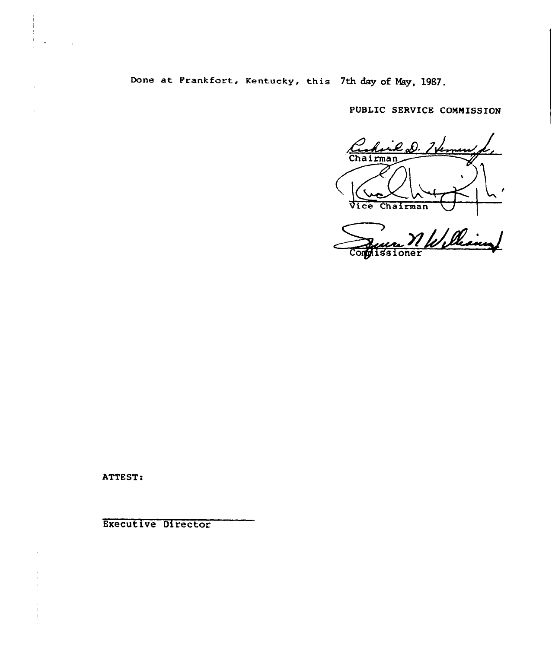Done at Prankfort, Kentucky, this 7th day oE May, 1987.

PUBLIC SERVICE COMMISSION

Chairman Vice Chairman

Contrassioner Williams

ATTEST:

Execut ive Director